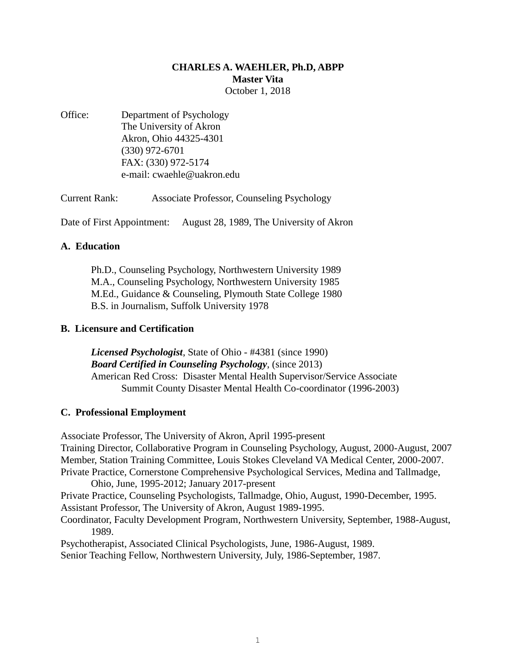# **CHARLES A. WAEHLER, Ph.D, ABPP Master Vita** October 1, 2018

Office: Department of Psychology The University of Akron Akron, Ohio 44325-4301 (330) 972-6701 FAX: (330) 972-5174 e-mail: cwaehle@uakron.edu

Current Rank: Associate Professor, Counseling Psychology

Date of First Appointment: August 28, 1989, The University of Akron

# **A. Education**

Ph.D., Counseling Psychology, Northwestern University 1989 M.A., Counseling Psychology, Northwestern University 1985 M.Ed., Guidance & Counseling, Plymouth State College 1980 B.S. in Journalism, Suffolk University 1978

# **B. Licensure and Certification**

*Licensed Psychologist*, State of Ohio - #4381 (since 1990) *Board Certified in Counseling Psychology*, (since 2013) American Red Cross: Disaster Mental Health Supervisor/Service Associate Summit County Disaster Mental Health Co-coordinator (1996-2003)

# **C. Professional Employment**

Associate Professor, The University of Akron, April 1995-present Training Director, Collaborative Program in Counseling Psychology, August, 2000-August, 2007 Member, Station Training Committee, Louis Stokes Cleveland VA Medical Center, 2000-2007. Private Practice, Cornerstone Comprehensive Psychological Services, Medina and Tallmadge, Ohio, June, 1995-2012; January 2017-present Private Practice, Counseling Psychologists, Tallmadge, Ohio, August, 1990-December, 1995. Assistant Professor, The University of Akron, August 1989-1995. Coordinator, Faculty Development Program, Northwestern University, September, 1988-August, 1989. Psychotherapist, Associated Clinical Psychologists, June, 1986-August, 1989. Senior Teaching Fellow, Northwestern University, July, 1986-September, 1987.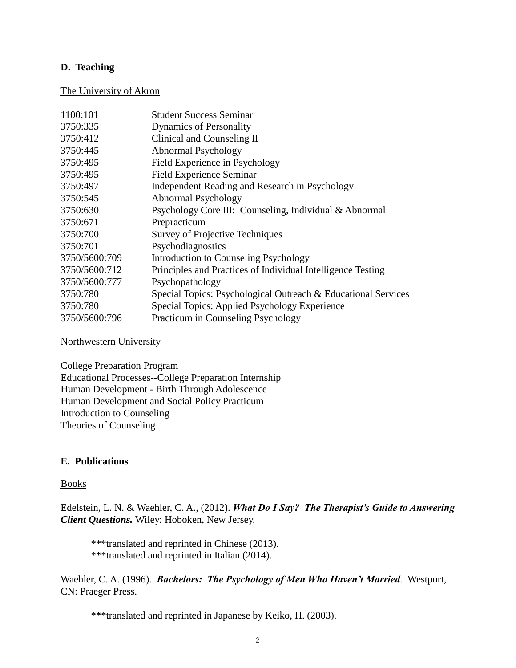## **D. Teaching**

### The University of Akron

| 1100:101      | <b>Student Success Seminar</b>                                |
|---------------|---------------------------------------------------------------|
| 3750:335      | <b>Dynamics of Personality</b>                                |
| 3750:412      | Clinical and Counseling II                                    |
| 3750:445      | Abnormal Psychology                                           |
| 3750:495      | Field Experience in Psychology                                |
| 3750:495      | <b>Field Experience Seminar</b>                               |
| 3750:497      | Independent Reading and Research in Psychology                |
| 3750:545      | Abnormal Psychology                                           |
| 3750:630      | Psychology Core III: Counseling, Individual & Abnormal        |
| 3750:671      | Prepracticum                                                  |
| 3750:700      | <b>Survey of Projective Techniques</b>                        |
| 3750:701      | Psychodiagnostics                                             |
| 3750/5600:709 | Introduction to Counseling Psychology                         |
| 3750/5600:712 | Principles and Practices of Individual Intelligence Testing   |
| 3750/5600:777 | Psychopathology                                               |
| 3750:780      | Special Topics: Psychological Outreach & Educational Services |
| 3750:780      | Special Topics: Applied Psychology Experience                 |
| 3750/5600:796 | Practicum in Counseling Psychology                            |

### Northwestern University

College Preparation Program Educational Processes--College Preparation Internship Human Development - Birth Through Adolescence Human Development and Social Policy Practicum Introduction to Counseling Theories of Counseling

### **E. Publications**

### Books

Edelstein, L. N. & Waehler, C. A., (2012). *What Do I Say? The Therapist's Guide to Answering Client Questions.* Wiley: Hoboken, New Jersey.

\*\*\*translated and reprinted in Chinese (2013). \*\*\*translated and reprinted in Italian (2014).

Waehler, C. A. (1996). *Bachelors: The Psychology of Men Who Haven't Married.* Westport, CN: Praeger Press.

\*\*\*translated and reprinted in Japanese by Keiko, H. (2003).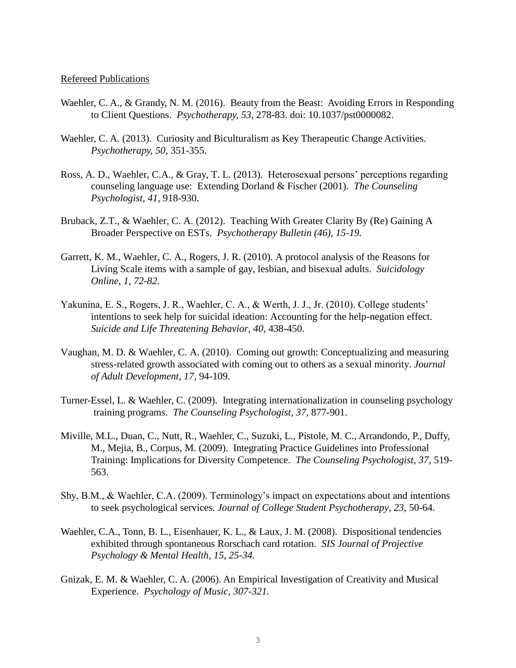#### Refereed Publications

- Waehler, C. A., & Grandy, N. M. (2016). Beauty from the Beast: Avoiding Errors in Responding to Client Questions. *Psychotherapy, 53,* 278-83. doi: 10.1037/pst0000082.
- Waehler, C. A. (2013). Curiosity and Biculturalism as Key Therapeutic Change Activities. *Psychotherapy, 50,* 351-355.
- Ross, A. D., Waehler, C.A., & Gray, T. L. (2013). Heterosexual persons' perceptions regarding counseling language use: Extending Dorland & Fischer (2001). *The Counseling Psychologist, 41,* 918-930.
- Bruback, Z.T., & Waehler, C. A. (2012). Teaching With Greater Clarity By (Re) Gaining A Broader Perspective on ESTs. *Psychotherapy Bulletin (46), 15-19.*
- Garrett, K. M., Waehler, C. A., Rogers, J. R. (2010). A protocol analysis of the Reasons for Living Scale items with a sample of gay, lesbian, and bisexual adults. *Suicidology Online, 1, 72-82.*
- Yakunina, E. S., Rogers, J. R., Waehler, C. A., & Werth, J. J., Jr. (2010). College students' intentions to seek help for suicidal ideation: Accounting for the help-negation effect. *Suicide and Life Threatening Behavior, 40,* 438-450.
- Vaughan, M. D. & Waehler, C. A. (2010). Coming out growth: Conceptualizing and measuring stress-related growth associated with coming out to others as a sexual minority. *Journal of Adult Development, 17,* 94-109.
- Turner-Essel, L. & Waehler, C. (2009). Integrating internationalization in counseling psychology training programs. *The Counseling Psychologist, 37,* 877-901.
- Miville, M.L., Duan, C., Nutt, R., Waehler, C., Suzuki, L., Pistole, M. C., Arrandondo, P., Duffy, M., Mejia, B., Corpus, M. (2009). Integrating Practice Guidelines into Professional Training: Implications for Diversity Competence. *The Counseling Psychologist, 37,* 519- 563.
- Shy, B.M., & Waehler, C.A. (2009). Terminology's impact on expectations about and intentions to seek psychological services. *Journal of College Student Psychotherapy, 23,* 50-64.
- Waehler, C.A., Tonn, B. L., Eisenhauer, K. L., & Laux, J. M. (2008). Dispositional tendencies exhibited through spontaneous Rorschach card rotation. *SIS Journal of Projective Psychology & Mental Health, 15, 25-34.*
- Gnizak, E. M. & Waehler, C. A. (2006). An Empirical Investigation of Creativity and Musical Experience. *Psychology of Music, 307-321.*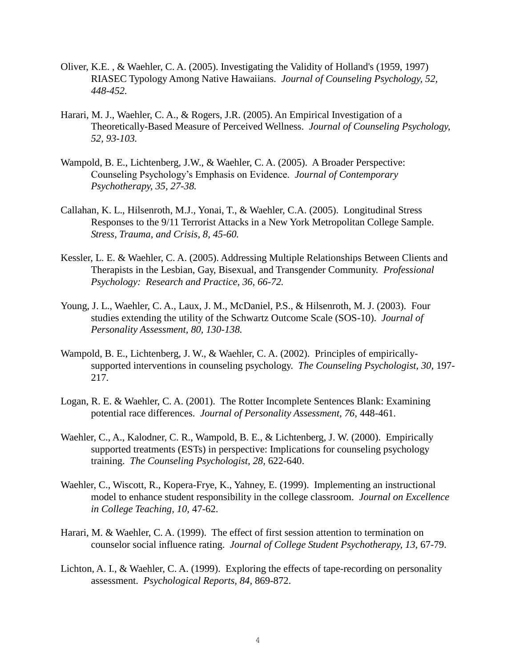- Oliver, K.E. , & Waehler, C. A. (2005). Investigating the Validity of Holland's (1959, 1997) RIASEC Typology Among Native Hawaiians. *Journal of Counseling Psychology, 52, 448-452.*
- Harari, M. J., Waehler, C. A., & Rogers, J.R. (2005). An Empirical Investigation of a Theoretically-Based Measure of Perceived Wellness. *Journal of Counseling Psychology, 52, 93-103.*
- Wampold, B. E., Lichtenberg, J.W., & Waehler, C. A. (2005). A Broader Perspective: Counseling Psychology's Emphasis on Evidence. *Journal of Contemporary Psychotherapy, 35, 27-38.*
- Callahan, K. L., Hilsenroth, M.J., Yonai, T., & Waehler, C.A. (2005). Longitudinal Stress Responses to the 9/11 Terrorist Attacks in a New York Metropolitan College Sample. *Stress, Trauma, and Crisis, 8, 45-60.*
- Kessler, L. E. & Waehler, C. A. (2005). Addressing Multiple Relationships Between Clients and Therapists in the Lesbian, Gay, Bisexual, and Transgender Community. *Professional Psychology: Research and Practice, 36, 66-72.*
- Young, J. L., Waehler, C. A., Laux, J. M., McDaniel, P.S., & Hilsenroth, M. J. (2003). Four studies extending the utility of the Schwartz Outcome Scale (SOS-10). *Journal of Personality Assessment, 80, 130-138.*
- Wampold, B. E., Lichtenberg, J. W., & Waehler, C. A. (2002). Principles of empiricallysupported interventions in counseling psychology. *The Counseling Psychologist, 30,* 197- 217.
- Logan, R. E. & Waehler, C. A. (2001). The Rotter Incomplete Sentences Blank: Examining potential race differences. *Journal of Personality Assessment, 76*, 448-461.
- Waehler, C., A., Kalodner, C. R., Wampold, B. E., & Lichtenberg, J. W. (2000). Empirically supported treatments (ESTs) in perspective: Implications for counseling psychology training. *The Counseling Psychologist, 28,* 622-640.
- Waehler, C., Wiscott, R., Kopera-Frye, K., Yahney, E. (1999). Implementing an instructional model to enhance student responsibility in the college classroom. *Journal on Excellence in College Teaching, 10,* 47-62.
- Harari, M. & Waehler, C. A. (1999). The effect of first session attention to termination on counselor social influence rating. *Journal of College Student Psychotherapy, 13,* 67-79.
- Lichton, A. I., & Waehler, C. A. (1999). Exploring the effects of tape-recording on personality assessment. *Psychological Reports, 84,* 869-872.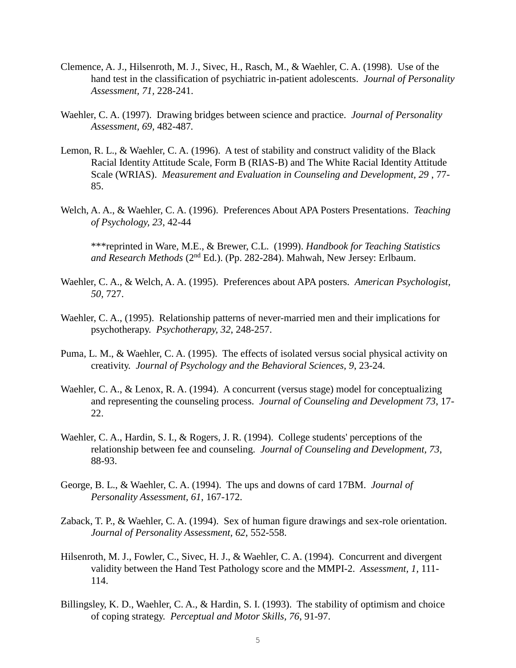- Clemence, A. J., Hilsenroth, M. J., Sivec, H., Rasch, M., & Waehler, C. A. (1998). Use of the hand test in the classification of psychiatric in-patient adolescents. *Journal of Personality Assessment, 71,* 228-241.
- Waehler, C. A. (1997). Drawing bridges between science and practice. *Journal of Personality Assessment, 69,* 482-487*.*
- Lemon, R. L., & Waehler, C. A. (1996). A test of stability and construct validity of the Black Racial Identity Attitude Scale, Form B (RIAS-B) and The White Racial Identity Attitude Scale (WRIAS). *Measurement and Evaluation in Counseling and Development, 29* , 77- 85.
- Welch, A. A., & Waehler, C. A. (1996). Preferences About APA Posters Presentations. *Teaching of Psychology, 23*, 42-44

\*\*\*reprinted in Ware, M.E., & Brewer, C.L. (1999). *Handbook for Teaching Statistics and Research Methods* (2nd Ed.). (Pp. 282-284). Mahwah, New Jersey: Erlbaum.

- Waehler, C. A., & Welch, A. A. (1995). Preferences about APA posters. *American Psychologist, 50*, 727.
- Waehler, C. A., (1995). Relationship patterns of never-married men and their implications for psychotherapy. *Psychotherapy, 32*, 248-257.
- Puma, L. M., & Waehler, C. A. (1995). The effects of isolated versus social physical activity on creativity. *Journal of Psychology and the Behavioral Sciences, 9*, 23-24.
- Waehler, C. A., & Lenox, R. A. (1994). A concurrent (versus stage) model for conceptualizing and representing the counseling process. *Journal of Counseling and Development 73*, 17- 22.
- Waehler, C. A., Hardin, S. I., & Rogers, J. R. (1994). College students' perceptions of the relationship between fee and counseling. *Journal of Counseling and Development, 73*, 88-93.
- George, B. L., & Waehler, C. A. (1994). The ups and downs of card 17BM. *Journal of Personality Assessment, 61*, 167-172.
- Zaback, T. P., & Waehler, C. A. (1994). Sex of human figure drawings and sex-role orientation. *Journal of Personality Assessment, 62*, 552-558.
- Hilsenroth, M. J., Fowler, C., Sivec, H. J., & Waehler, C. A. (1994). Concurrent and divergent validity between the Hand Test Pathology score and the MMPI-2. *Assessment, 1,* 111- 114.
- Billingsley, K. D., Waehler, C. A., & Hardin, S. I. (1993). The stability of optimism and choice of coping strategy. *Perceptual and Motor Skills, 76*, 91-97.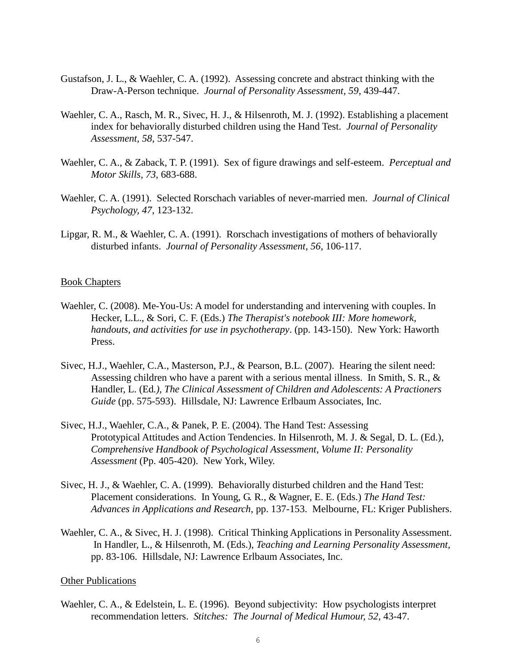- Gustafson, J. L., & Waehler, C. A. (1992). Assessing concrete and abstract thinking with the Draw-A-Person technique. *Journal of Personality Assessment, 59*, 439-447.
- Waehler, C. A., Rasch, M. R., Sivec, H. J., & Hilsenroth, M. J. (1992). Establishing a placement index for behaviorally disturbed children using the Hand Test. *Journal of Personality Assessment, 58*, 537-547.
- Waehler, C. A., & Zaback, T. P. (1991). Sex of figure drawings and self-esteem. *Perceptual and Motor Skills, 73*, 683-688.
- Waehler, C. A. (1991). Selected Rorschach variables of never-married men. *Journal of Clinical Psychology, 47*, 123-132.
- Lipgar, R. M., & Waehler, C. A. (1991). Rorschach investigations of mothers of behaviorally disturbed infants. *Journal of Personality Assessment, 56*, 106-117.

#### Book Chapters

- Waehler, C. (2008). Me-You-Us: A model for understanding and intervening with couples. In Hecker, L.L., & Sori, C. F. (Eds.) *The Therapist's notebook III: More homework, handouts, and activities for use in psychotherapy*. (pp. 143-150). New York: Haworth Press.
- Sivec, H.J., Waehler, C.A., Masterson, P.J., & Pearson, B.L. (2007). Hearing the silent need: Assessing children who have a parent with a serious mental illness. In Smith, S. R., & Handler, L. (Ed*.), The Clinical Assessment of Children and Adolescents: A Practioners Guide* (pp. 575-593). Hillsdale, NJ: Lawrence Erlbaum Associates, Inc.
- Sivec, H.J., Waehler, C.A., & Panek, P. E. (2004). The Hand Test: Assessing Prototypical Attitudes and Action Tendencies. In Hilsenroth, M. J. & Segal, D. L. (Ed.), *Comprehensive Handbook of Psychological Assessment, Volume II: Personality Assessment* (Pp. 405-420). New York, Wiley.
- Sivec, H. J., & Waehler, C. A. (1999). Behaviorally disturbed children and the Hand Test: Placement considerations. In Young, G. R., & Wagner, E. E. (Eds.) *The Hand Test: Advances in Applications and Research*, pp. 137-153. Melbourne, FL: Kriger Publishers.
- Waehler, C. A., & Sivec, H. J. (1998). Critical Thinking Applications in Personality Assessment. In Handler, L., & Hilsenroth, M. (Eds.), *Teaching and Learning Personality Assessment,* pp. 83-106. Hillsdale, NJ: Lawrence Erlbaum Associates, Inc.

#### Other Publications

Waehler, C. A., & Edelstein, L. E. (1996). Beyond subjectivity: How psychologists interpret recommendation letters. *Stitches: The Journal of Medical Humour, 52*, 43-47.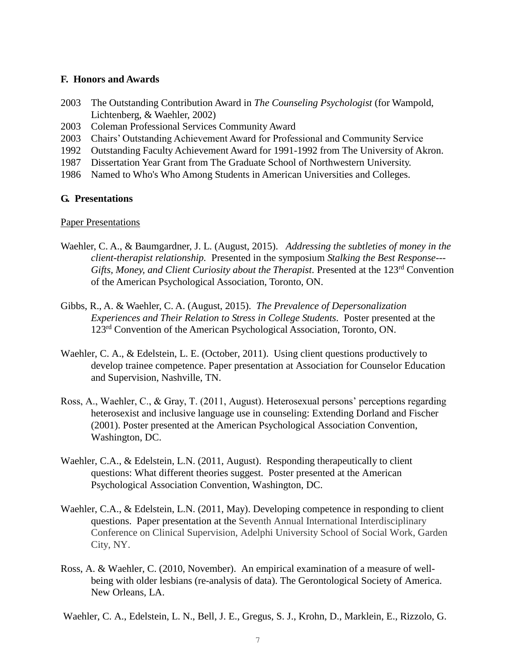## **F. Honors and Awards**

- 2003 The Outstanding Contribution Award in *The Counseling Psychologist* (for Wampold, Lichtenberg, & Waehler, 2002)
- 2003 Coleman Professional Services Community Award
- 2003 Chairs' Outstanding Achievement Award for Professional and Community Service
- 1992 Outstanding Faculty Achievement Award for 1991-1992 from The University of Akron.
- 1987 Dissertation Year Grant from The Graduate School of Northwestern University.
- 1986 Named to Who's Who Among Students in American Universities and Colleges.

## **G. Presentations**

### Paper Presentations

- Waehler, C. A., & Baumgardner, J. L. (August, 2015). *Addressing the subtleties of money in the client-therapist relationship.* Presented in the symposium *Stalking the Best Response--- Gifts, Money, and Client Curiosity about the Therapist.* Presented at the 123rd Convention of the American Psychological Association, Toronto, ON.
- Gibbs, R., A. & Waehler, C. A. (August, 2015). *The Prevalence of Depersonalization Experiences and Their Relation to Stress in College Students.* Poster presented at the 123rd Convention of the American Psychological Association, Toronto, ON.
- Waehler, C. A., & Edelstein, L. E. (October, 2011). Using client questions productively to develop trainee competence. Paper presentation at Association for Counselor Education and Supervision, Nashville, TN.
- Ross, A., Waehler, C., & Gray, T. (2011, August). Heterosexual persons' perceptions regarding heterosexist and inclusive language use in counseling: Extending Dorland and Fischer (2001). Poster presented at the American Psychological Association Convention, Washington, DC.
- Waehler, C.A., & Edelstein, L.N. (2011, August). Responding therapeutically to client questions: What different theories suggest. Poster presented at the American Psychological Association Convention, Washington, DC.
- Waehler, C.A., & Edelstein, L.N. (2011, May). Developing competence in responding to client questions. Paper presentation at the Seventh Annual International Interdisciplinary Conference on Clinical Supervision, Adelphi University School of Social Work, Garden City, NY.
- Ross, A. & Waehler, C. (2010, November). An empirical examination of a measure of wellbeing with older lesbians (re-analysis of data). The Gerontological Society of America. New Orleans, LA.
- Waehler, C. A., Edelstein, L. N., Bell, J. E., Gregus, S. J., Krohn, D., Marklein, E., Rizzolo, G.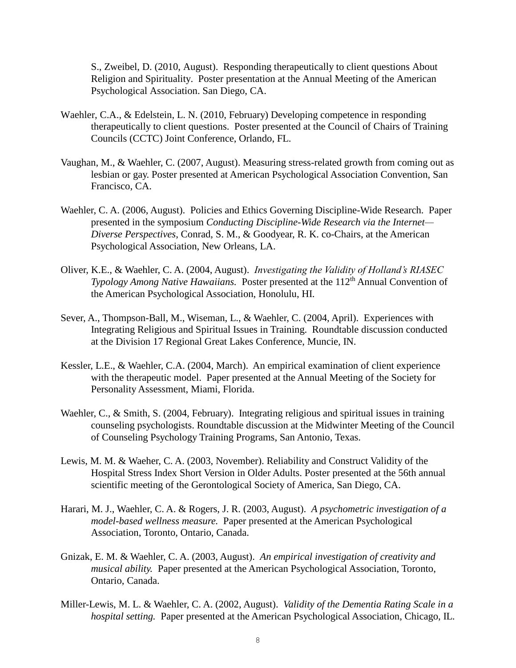S., Zweibel, D. (2010, August). Responding therapeutically to client questions About Religion and Spirituality. Poster presentation at the Annual Meeting of the American Psychological Association. San Diego, CA.

- Waehler, C.A., & Edelstein, L. N. (2010, February) Developing competence in responding therapeutically to client questions. Poster presented at the Council of Chairs of Training Councils (CCTC) Joint Conference, Orlando, FL.
- Vaughan, M., & Waehler, C. (2007, August). Measuring stress-related growth from coming out as lesbian or gay. Poster presented at American Psychological Association Convention, San Francisco, CA.
- Waehler, C. A. (2006, August). Policies and Ethics Governing Discipline-Wide Research. Paper presented in the symposium *Conducting Discipline-Wide Research via the Internet— Diverse Perspectives*, Conrad, S. M., & Goodyear, R. K. co-Chairs, at the American Psychological Association, New Orleans, LA.
- Oliver, K.E., & Waehler, C. A. (2004, August). *Investigating the Validity of Holland's RIASEC Typology Among Native Hawaiians.* Poster presented at the 112<sup>th</sup> Annual Convention of the American Psychological Association, Honolulu, HI.
- Sever, A., Thompson-Ball, M., Wiseman, L., & Waehler, C. (2004, April). Experiences with Integrating Religious and Spiritual Issues in Training. Roundtable discussion conducted at the Division 17 Regional Great Lakes Conference, Muncie, IN.
- Kessler, L.E., & Waehler, C.A. (2004, March). An empirical examination of client experience with the therapeutic model. Paper presented at the Annual Meeting of the Society for Personality Assessment, Miami, Florida.
- Waehler, C., & Smith, S. (2004, February). Integrating religious and spiritual issues in training counseling psychologists. Roundtable discussion at the Midwinter Meeting of the Council of Counseling Psychology Training Programs, San Antonio, Texas.
- Lewis, M. M. & Waeher, C. A. (2003, November). Reliability and Construct Validity of the Hospital Stress Index Short Version in Older Adults. Poster presented at the 56th annual scientific meeting of the Gerontological Society of America, San Diego, CA.
- Harari, M. J., Waehler, C. A. & Rogers, J. R. (2003, August). *A psychometric investigation of a model-based wellness measure.* Paper presented at the American Psychological Association, Toronto, Ontario, Canada.
- Gnizak, E. M. & Waehler, C. A. (2003, August). *An empirical investigation of creativity and musical ability.* Paper presented at the American Psychological Association, Toronto, Ontario, Canada.
- Miller-Lewis, M. L. & Waehler, C. A. (2002, August). *Validity of the Dementia Rating Scale in a hospital setting.* Paper presented at the American Psychological Association, Chicago, IL.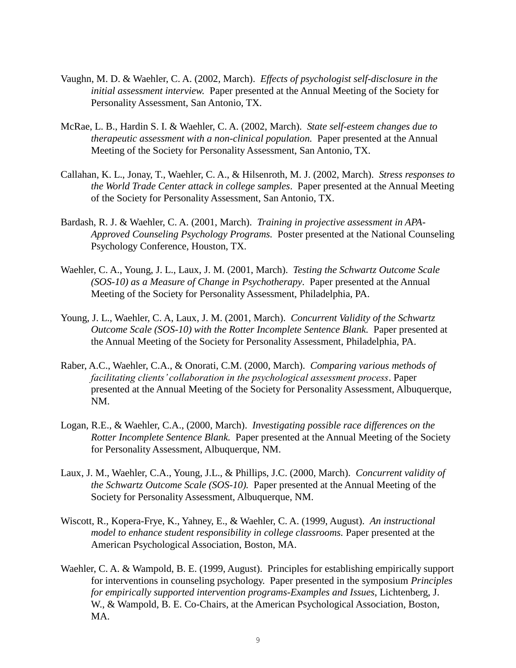- Vaughn, M. D. & Waehler, C. A. (2002, March). *Effects of psychologist self-disclosure in the initial assessment interview.* Paper presented at the Annual Meeting of the Society for Personality Assessment, San Antonio, TX.
- McRae, L. B., Hardin S. I. & Waehler, C. A. (2002, March). *State self-esteem changes due to therapeutic assessment with a non-clinical population.* Paper presented at the Annual Meeting of the Society for Personality Assessment, San Antonio, TX.
- Callahan, K. L., Jonay, T., Waehler, C. A., & Hilsenroth, M. J. (2002, March). *Stress responses to the World Trade Center attack in college samples*. Paper presented at the Annual Meeting of the Society for Personality Assessment, San Antonio, TX.
- Bardash, R. J. & Waehler, C. A. (2001, March). *Training in projective assessment in APA-Approved Counseling Psychology Programs.* Poster presented at the National Counseling Psychology Conference, Houston, TX.
- Waehler, C. A., Young, J. L., Laux, J. M. (2001, March). *Testing the Schwartz Outcome Scale (SOS-10) as a Measure of Change in Psychotherapy*. Paper presented at the Annual Meeting of the Society for Personality Assessment, Philadelphia, PA.
- Young, J. L., Waehler, C. A, Laux, J. M. (2001, March). *Concurrent Validity of the Schwartz Outcome Scale (SOS-10) with the Rotter Incomplete Sentence Blank.* Paper presented at the Annual Meeting of the Society for Personality Assessment, Philadelphia, PA.
- Raber, A.C., Waehler, C.A., & Onorati, C.M. (2000, March). *Comparing various methods of facilitating clients' collaboration in the psychological assessment process*. Paper presented at the Annual Meeting of the Society for Personality Assessment, Albuquerque, NM.
- Logan, R.E., & Waehler, C.A., (2000, March). *Investigating possible race differences on the Rotter Incomplete Sentence Blank.* Paper presented at the Annual Meeting of the Society for Personality Assessment, Albuquerque, NM.
- Laux, J. M., Waehler, C.A., Young, J.L., & Phillips, J.C. (2000, March). *Concurrent validity of the Schwartz Outcome Scale (SOS-10).* Paper presented at the Annual Meeting of the Society for Personality Assessment, Albuquerque, NM.
- Wiscott, R., Kopera-Frye, K., Yahney, E., & Waehler, C. A. (1999, August). *An instructional model to enhance student responsibility in college classrooms.* Paper presented at the American Psychological Association, Boston, MA.
- Waehler, C. A. & Wampold, B. E. (1999, August). Principles for establishing empirically support for interventions in counseling psychology. Paper presented in the symposium *Principles for empirically supported intervention programs-Examples and Issues*, Lichtenberg, J. W., & Wampold, B. E. Co-Chairs, at the American Psychological Association, Boston, MA.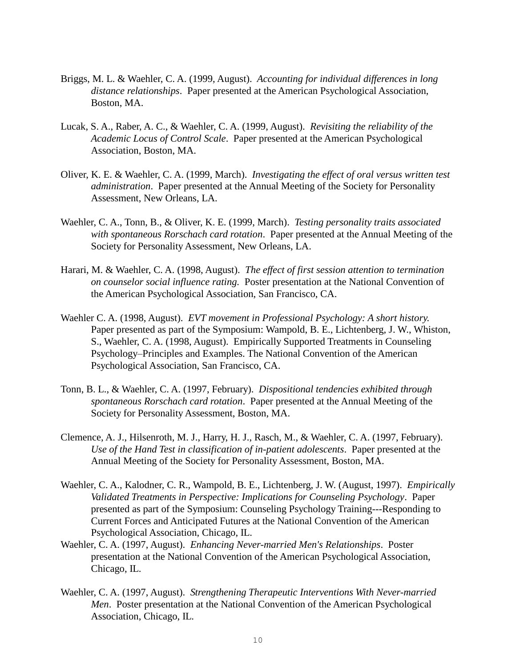- Briggs, M. L. & Waehler, C. A. (1999, August). *Accounting for individual differences in long distance relationships*. Paper presented at the American Psychological Association, Boston, MA.
- Lucak, S. A., Raber, A. C., & Waehler, C. A. (1999, August). *Revisiting the reliability of the Academic Locus of Control Scale*. Paper presented at the American Psychological Association, Boston, MA.
- Oliver, K. E. & Waehler, C. A. (1999, March). *Investigating the effect of oral versus written test administration*. Paper presented at the Annual Meeting of the Society for Personality Assessment, New Orleans, LA.
- Waehler, C. A., Tonn, B., & Oliver, K. E. (1999, March). *Testing personality traits associated with spontaneous Rorschach card rotation*. Paper presented at the Annual Meeting of the Society for Personality Assessment, New Orleans, LA.
- Harari, M. & Waehler, C. A. (1998, August). *The effect of first session attention to termination on counselor social influence rating.* Poster presentation at the National Convention of the American Psychological Association, San Francisco, CA.
- Waehler C. A. (1998, August). *EVT movement in Professional Psychology: A short history.*  Paper presented as part of the Symposium: Wampold, B. E., Lichtenberg, J. W., Whiston, S., Waehler, C. A. (1998, August). Empirically Supported Treatments in Counseling Psychology–Principles and Examples. The National Convention of the American Psychological Association, San Francisco, CA.
- Tonn, B. L., & Waehler, C. A. (1997, February). *Dispositional tendencies exhibited through spontaneous Rorschach card rotation*. Paper presented at the Annual Meeting of the Society for Personality Assessment, Boston, MA.
- Clemence, A. J., Hilsenroth, M. J., Harry, H. J., Rasch, M., & Waehler, C. A. (1997, February). *Use of the Hand Test in classification of in-patient adolescents*. Paper presented at the Annual Meeting of the Society for Personality Assessment, Boston, MA.
- Waehler, C. A., Kalodner, C. R., Wampold, B. E., Lichtenberg, J. W. (August, 1997). *Empirically Validated Treatments in Perspective: Implications for Counseling Psychology*. Paper presented as part of the Symposium: Counseling Psychology Training---Responding to Current Forces and Anticipated Futures at the National Convention of the American Psychological Association, Chicago, IL.
- Waehler, C. A. (1997, August). *Enhancing Never-married Men's Relationships*. Poster presentation at the National Convention of the American Psychological Association, Chicago, IL.
- Waehler, C. A. (1997, August). *Strengthening Therapeutic Interventions With Never-married Men*. Poster presentation at the National Convention of the American Psychological Association, Chicago, IL.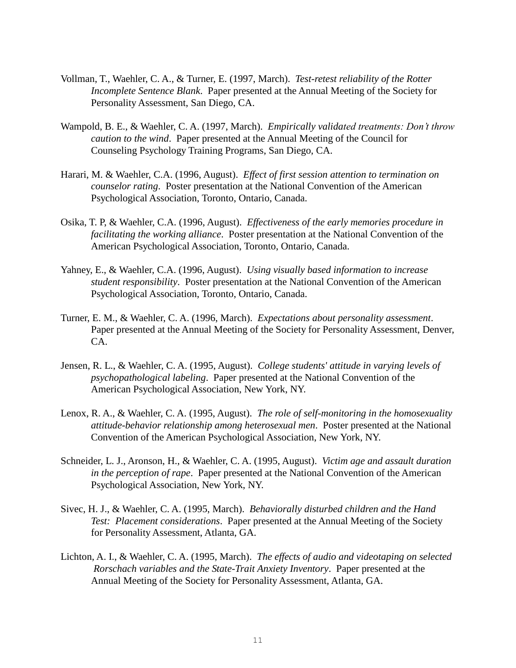- Vollman, T., Waehler, C. A., & Turner, E. (1997, March). *Test-retest reliability of the Rotter Incomplete Sentence Blank*. Paper presented at the Annual Meeting of the Society for Personality Assessment, San Diego, CA.
- Wampold, B. E., & Waehler, C. A. (1997, March). *Empirically validated treatments: Don't throw caution to the wind*. Paper presented at the Annual Meeting of the Council for Counseling Psychology Training Programs, San Diego, CA.
- Harari, M. & Waehler, C.A. (1996, August). *Effect of first session attention to termination on counselor rating*. Poster presentation at the National Convention of the American Psychological Association, Toronto, Ontario, Canada.
- Osika, T. P, & Waehler, C.A. (1996, August). *Effectiveness of the early memories procedure in facilitating the working alliance*. Poster presentation at the National Convention of the American Psychological Association, Toronto, Ontario, Canada.
- Yahney, E., & Waehler, C.A. (1996, August). *Using visually based information to increase student responsibility*. Poster presentation at the National Convention of the American Psychological Association, Toronto, Ontario, Canada.
- Turner, E. M., & Waehler, C. A. (1996, March). *Expectations about personality assessment*. Paper presented at the Annual Meeting of the Society for Personality Assessment, Denver, CA.
- Jensen, R. L., & Waehler, C. A. (1995, August). *College students' attitude in varying levels of psychopathological labeling*. Paper presented at the National Convention of the American Psychological Association, New York, NY.
- Lenox, R. A., & Waehler, C. A. (1995, August). *The role of self-monitoring in the homosexuality attitude-behavior relationship among heterosexual men*. Poster presented at the National Convention of the American Psychological Association, New York, NY.
- Schneider, L. J., Aronson, H., & Waehler, C. A. (1995, August). *Victim age and assault duration in the perception of rape*. Paper presented at the National Convention of the American Psychological Association, New York, NY.
- Sivec, H. J., & Waehler, C. A. (1995, March). *Behaviorally disturbed children and the Hand Test: Placement considerations*. Paper presented at the Annual Meeting of the Society for Personality Assessment, Atlanta, GA.
- Lichton, A. I., & Waehler, C. A. (1995, March). *The effects of audio and videotaping on selected Rorschach variables and the State-Trait Anxiety Inventory*. Paper presented at the Annual Meeting of the Society for Personality Assessment, Atlanta, GA.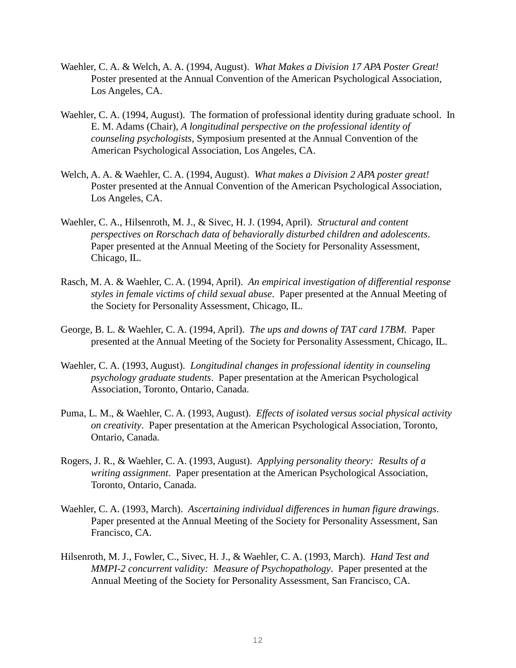- Waehler, C. A. & Welch, A. A. (1994, August). *What Makes a Division 17 APA Poster Great!*  Poster presented at the Annual Convention of the American Psychological Association, Los Angeles, CA.
- Waehler, C. A. (1994, August).The formation of professional identity during graduate school. In E. M. Adams (Chair), *A longitudinal perspective on the professional identity of counseling psychologists,* Symposium presented at the Annual Convention of the American Psychological Association, Los Angeles, CA.
- Welch, A. A. & Waehler, C. A. (1994, August). *What makes a Division 2 APA poster great!*  Poster presented at the Annual Convention of the American Psychological Association, Los Angeles, CA.
- Waehler, C. A., Hilsenroth, M. J., & Sivec, H. J. (1994, April). *Structural and content perspectives on Rorschach data of behaviorally disturbed children and adolescents*. Paper presented at the Annual Meeting of the Society for Personality Assessment, Chicago, IL.
- Rasch, M. A. & Waehler, C. A. (1994, April). *An empirical investigation of differential response styles in female victims of child sexual abuse*. Paper presented at the Annual Meeting of the Society for Personality Assessment, Chicago, IL.
- George, B. L. & Waehler, C. A. (1994, April). *The ups and downs of TAT card 17BM.* Paper presented at the Annual Meeting of the Society for Personality Assessment, Chicago, IL.
- Waehler, C. A. (1993, August). *Longitudinal changes in professional identity in counseling psychology graduate students*. Paper presentation at the American Psychological Association, Toronto, Ontario, Canada.
- Puma, L. M., & Waehler, C. A. (1993, August). *Effects of isolated versus social physical activity on creativity*. Paper presentation at the American Psychological Association, Toronto, Ontario, Canada.
- Rogers, J. R., & Waehler, C. A. (1993, August). *Applying personality theory: Results of a writing assignment*. Paper presentation at the American Psychological Association, Toronto, Ontario, Canada.
- Waehler, C. A. (1993, March). *Ascertaining individual differences in human figure drawings*. Paper presented at the Annual Meeting of the Society for Personality Assessment, San Francisco, CA.
- Hilsenroth, M. J., Fowler, C., Sivec, H. J., & Waehler, C. A. (1993, March). *Hand Test and MMPI-2 concurrent validity: Measure of Psychopathology*. Paper presented at the Annual Meeting of the Society for Personality Assessment, San Francisco, CA.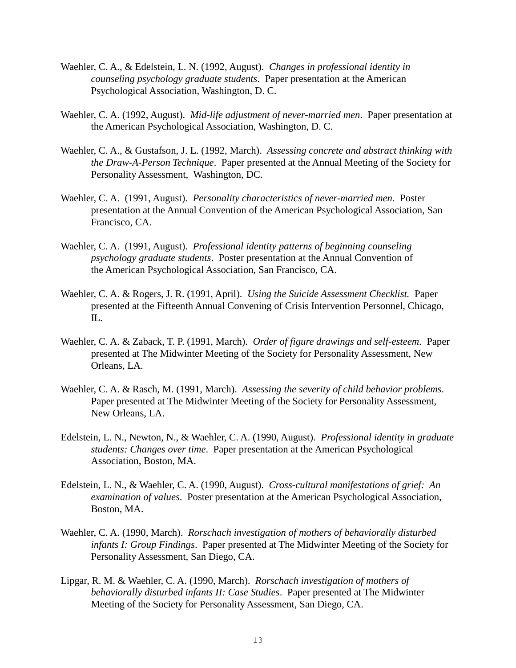- Waehler, C. A., & Edelstein, L. N. (1992, August). *Changes in professional identity in counseling psychology graduate students*. Paper presentation at the American Psychological Association, Washington, D. C.
- Waehler, C. A. (1992, August). *Mid-life adjustment of never-married men*. Paper presentation at the American Psychological Association, Washington, D. C.
- Waehler, C. A., & Gustafson, J. L. (1992, March). *Assessing concrete and abstract thinking with the Draw-A-Person Technique*. Paper presented at the Annual Meeting of the Society for Personality Assessment, Washington, DC.
- Waehler, C. A. (1991, August). *Personality characteristics of never-married men*. Poster presentation at the Annual Convention of the American Psychological Association, San Francisco, CA.
- Waehler, C. A. (1991, August). *Professional identity patterns of beginning counseling psychology graduate students*. Poster presentation at the Annual Convention of the American Psychological Association, San Francisco, CA.
- Waehler, C. A. & Rogers, J. R. (1991, April). *Using the Suicide Assessment Checklist.* Paper presented at the Fifteenth Annual Convening of Crisis Intervention Personnel, Chicago, IL.
- Waehler, C. A. & Zaback, T. P. (1991, March). *Order of figure drawings and self-esteem*. Paper presented at The Midwinter Meeting of the Society for Personality Assessment, New Orleans, LA.
- Waehler, C. A. & Rasch, M. (1991, March). *Assessing the severity of child behavior problems*. Paper presented at The Midwinter Meeting of the Society for Personality Assessment, New Orleans, LA.
- Edelstein, L. N., Newton, N., & Waehler, C. A. (1990, August). *Professional identity in graduate students: Changes over time*. Paper presentation at the American Psychological Association, Boston, MA.
- Edelstein, L. N., & Waehler, C. A. (1990, August). *Cross-cultural manifestations of grief: An examination of values*. Poster presentation at the American Psychological Association, Boston, MA.
- Waehler, C. A. (1990, March). *Rorschach investigation of mothers of behaviorally disturbed infants I: Group Findings*. Paper presented at The Midwinter Meeting of the Society for Personality Assessment, San Diego, CA.
- Lipgar, R. M. & Waehler, C. A. (1990, March). *Rorschach investigation of mothers of behaviorally disturbed infants II: Case Studies*. Paper presented at The Midwinter Meeting of the Society for Personality Assessment, San Diego, CA.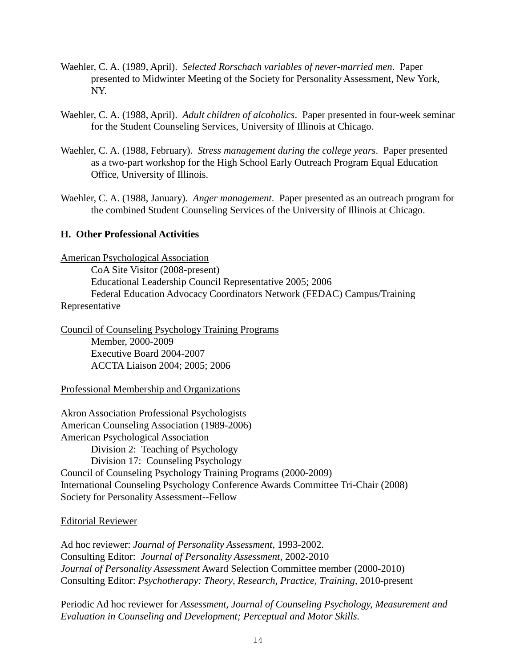- Waehler, C. A. (1989, April). *Selected Rorschach variables of never-married men*. Paper presented to Midwinter Meeting of the Society for Personality Assessment, New York, NY.
- Waehler, C. A. (1988, April). *Adult children of alcoholics*. Paper presented in four-week seminar for the Student Counseling Services, University of Illinois at Chicago.
- Waehler, C. A. (1988, February). *Stress management during the college years*. Paper presented as a two-part workshop for the High School Early Outreach Program Equal Education Office, University of Illinois.
- Waehler, C. A. (1988, January). *Anger management*. Paper presented as an outreach program for the combined Student Counseling Services of the University of Illinois at Chicago.

### **H. Other Professional Activities**

American Psychological Association

CoA Site Visitor (2008-present) Educational Leadership Council Representative 2005; 2006 Federal Education Advocacy Coordinators Network (FEDAC) Campus/Training Representative

Council of Counseling Psychology Training Programs Member, 2000-2009 Executive Board 2004-2007 ACCTA Liaison 2004; 2005; 2006

#### Professional Membership and Organizations

Akron Association Professional Psychologists American Counseling Association (1989-2006) American Psychological Association Division 2: Teaching of Psychology Division 17: Counseling Psychology Council of Counseling Psychology Training Programs (2000-2009) International Counseling Psychology Conference Awards Committee Tri-Chair (2008) Society for Personality Assessment--Fellow

#### Editorial Reviewer

Ad hoc reviewer: *Journal of Personality Assessment*, 1993-2002. Consulting Editor: *Journal of Personality Assessment*, 2002-2010 *Journal of Personality Assessment* Award Selection Committee member (2000-2010) Consulting Editor: *Psychotherapy: Theory, Research, Practice, Training,* 2010-present

Periodic Ad hoc reviewer for *Assessment, Journal of Counseling Psychology, Measurement and Evaluation in Counseling and Development; Perceptual and Motor Skills.*